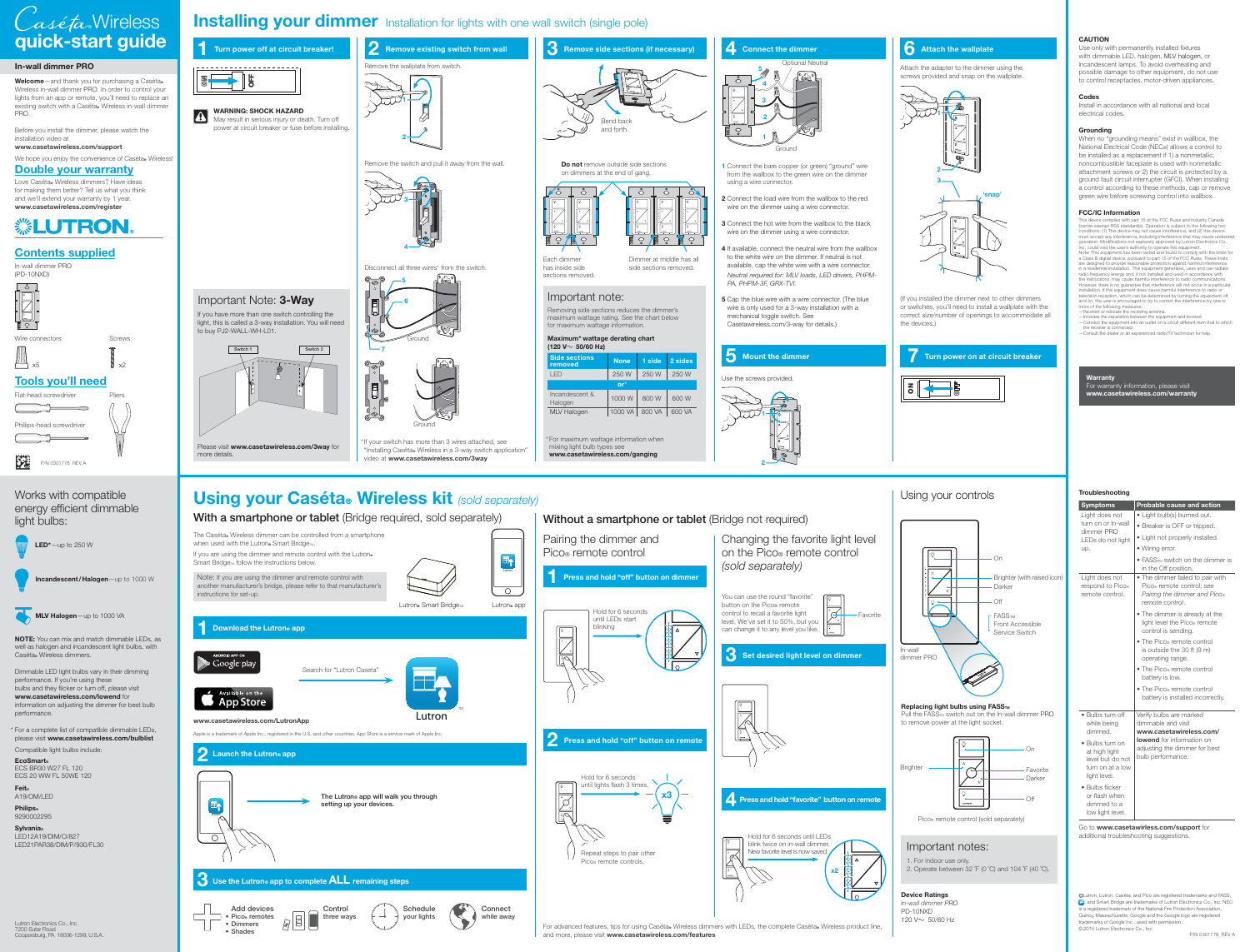**OFF**

 $|{\bf A}|$ 



### **In-wall dimmer PRO**

Welcome-and thank you for purchasing a Caséta® Wireless in-wall dimmer PRO. In order to control your lights from an app or remote, you'll need to replace an existing switch with a Caséta. Wireless in-wall dimmer PRO.

**NOTE:** You can mix and match dimmable LEDs, as well as halogen and incandescent light bulbs, with Caséta. Wireless dimmers.

Dimmable LED light bulbs vary in their dimming performance. If you're using these bulbs and they flicker or turn off, please visit **www.casetawireless.com/lowend** for information on adjusting the dimmer for best bulb performance

Before you install the dimmer, please watch the installation video at **www.casetawireless.com/support**

We hope you enjoy the convenience of Caséta. Wireless!

Flat-head screwdriver illips-head screwdriver

\* For a complete list of compatible dimmable LEDs, please visit **www.casetawireless.com/bulblist** Compatible light bulbs include:

**EcoSmart®** ECS BR30 W27 FL 120 ECS 20 WW FL 50WE 120

**Feit®** A19/OM/LED

**Philips®** 9290002295

# **Installing your dimmer** Installation for lights with one wall switch (single pole) **3 Remove side sections (if necessary)**

**Sylvania®**

LED12A19/DIM/O/827 LED21PAR38/DIM/P/930/FL30

**Double your warranty**

"Installing Caséta. Wireless in a 3-way switch application" video at **www.casetawireless.com/3way**

If your switch has more than 3 wires attached, see Ground

Lutron. Smart Bridge<sub>TM</sub>

Lutron



## Works with compatible energy efficient dimmable light bulbs:



**5** Cap the blue wire with a wire connector. (The blue wire is only used for a 3-way installation with a mechanical toggle switch. See Casetawireless.com/3-way for details.)

Please visit **www.casetawireless.com/3way** for

more details.

**WARNING: SHOCK HAZARD**

May result in serious injury or death. Turn off power at circuit breaker or fuse before installing.

**1 Turn power off at circuit breaker!**



#### **4 Connect the dimmer**

## **5 Mount the dimmer**

## **7 Turn power on at circuit breaker**

Remove the wallplate from switch.







**3**

**1**

**4**



**2** Remove existing switch from wall

**2**

Love Caséta. Wireless dimmers? Have ideas for making them better? Tell us what you think and we'll extend your warranty by 1 year. **www.casetawireless.com/register**

**1** Connect the bare copper (or green) "ground" wire from the wallbox to the green wire on the dimmer using a wire connector.

For advanced features, tips for using Caséta® Wireless dimmers with LEDs, the complete Caséta® Wireless product line, and more, please visit **www.casetawireless.com/features**

**2** Connect the load wire from the wallbox to the red wire on the dimmer using a wire connector.

You can use the round "favorite" control to recall a favorite light level. We've set it to 50%, but you can change it to any level you like.

 $|\mathcal{G}|$ Favorite

**3** Connect the hot wire from the wallbox to the black wire on the dimmer using a wire connector.

Disconnect all three wires\* from the switch. Each dimmer

 $\color{red} \blacksquare$ 

Lutron<sub>®</sub> app

 $\overline{\circ}$ 

**4** If available, connect the neutral wire from the wallbox to the white wire on the dimmer. If neutral is not available, cap the white wire with a wire connector. Neutral required for: MLV loads, LED drivers, PHPM-PA, PHPM-3F, GRX-TVI.

This device complies with part 15 of the FCC Rules and Industry Canada license-exempt RSS standard(s). Operation is subject to the following two conditions: (1) This device may not cause interference, and (2) this device must accept any interference, including interference that may cause undes operation. Modifications not expressly approved by Lutron Electronics Co.,<br>Inc. could void the user's authority to operate this equipment.<br>Note: This equipment has been tested and found to comply with the limits for<br>Actes: are designed to provide reasonable protection against harmful interference in a residential installation. This equipment generates, uses and can racilate<br>radio frequency energy and, if not installed and used in accordance with<br>the instructions, may cause harmful interference to radio communicatio television reception, which can be determined by turning the equipment off and on, the user is encouraged to try to correct the interference by one or more of the following measures:<br>—Reorient or relocate the receiving antenna.<br>—Increase the separation between the equipment and receiver.<br>—Connect the equipment into an outlet on a circuit different from that to which





has inside side sections removed.

Dimmer at middle has all side sections removed.

 $\degree$ 

 $\frac{1}{2}$ 

Attach the adapter to the dimmer using the screws provided and snap on the wallplate.

(If you installed the dimmer next to other dimmers or switches, you'll need to install a wallplate with the correct size/number of openings to accommodate all the devices.)

Use the screws provided.

## **6** Attach the wallplate

Go to **www.casetawirless.com/support** for additional troubleshooting suggestions.

Light does not

• Light bulb(s) burned out.

| turn on or In-wall<br>dimmer PRO<br>LEDs do not light<br>up. | • Breaker is OFF or tripped.<br>• Light not properly installed.<br>• Wiring error.                               |  |
|--------------------------------------------------------------|------------------------------------------------------------------------------------------------------------------|--|
|                                                              | • FASSTM switch on the dimmer is<br>in the Off position.                                                         |  |
| Light does not<br>respond to Pico®<br>remote control.        | • The dimmer failed to pair with<br>Pico® remote control; see<br>Pairing the dimmer and Pico®<br>remote control. |  |
|                                                              | • The dimmer is already at the<br>light level the Pico® remote                                                   |  |

Lutron, Lutron, Caséta, and Pico are registered trademarks and FASS, **Lutron**, and Smart Bridge are trademarks of Lutron Electronics Co., Inc. NEC is a registered trademark of the National Fire Protection Association, Quincy, Massachusetts. Google and the Google logo are registered trademarks of Google Inc., used with permission. ©2015 Lutron Electronics Co., Inc



|                          | • The Pico® remote control<br>is outside the 30 ft (9 m)<br>operating range.<br>$\bullet$ The Pico® remote control<br>battery is low.<br>• The Pico® remote control<br>battery is installed incorrectly. |
|--------------------------|----------------------------------------------------------------------------------------------------------------------------------------------------------------------------------------------------------|
| $\bullet$ Bulbs turn off | Verify bulbs are marked                                                                                                                                                                                  |
| while being              | dimmable and visit                                                                                                                                                                                       |
| dimmed.                  | www.casetawireless.com/                                                                                                                                                                                  |
| $\bullet$ Bulbs turn on  | <b>lowend</b> for information on                                                                                                                                                                         |
| at high light            | adjusting the dimmer for best                                                                                                                                                                            |

at high light level but do not turn on at a low light level.

 $\bullet$  Bulbs while **b** dimme

• Bulbs flicker or flash when dimmed to a low light level.

bulb performance.

control is sending.

**Probable cause and action** 

Note: If you are using the dimmer and remote control with another manufacturer's bridge, please refer to that manufacturer's nstructions for set-up.

The Caséta. Wireless dimmer can be controlled from a smartphone



# Þ€. P/N 0301778 REV A

**LED\***—up to 250 W **Halogen**—up to 1000 VA

# Changing the favorite light level on the Pico® remote control

# **quick-start guide** Wireless **®**

to remove power at the light socket.

#### **CAUTION**

Use only with permanently installed fixtures with dimmable LED, halogen, MLV halogen, or incandescent lamps. To avoid overheating and possible damage to other equipment, do not use to control receptacles, motor-driven appliances.

#### **Codes**

Install in accordance with all national and local electrical codes.

#### **Grounding**

When no "grounding means" exist in wallbox, the National Electrical Code (NEC®) allows a control to be installed as a replacement if 1) a nonmetallic, noncombustible faceplate is used with nonmetallic attachment screws or 2) the circuit is protected by a ground fault circuit interrupter (GFCI). When installing a control according to these methods, cap or remove green wire before screwing control into wallbox.

#### **FCC/IC Information**





the receiver is connected.

—Consult the dealer or an experienced radio/TV technician for help.

Lutron Electronics Co., Inc. 7200 Suter Road Coopersburg, PA 18036-1299, U.S.A.



### **3 Set desired light level on dimmer**

**4 Press and hold "favorite" button on remote**

**Troubleshooting**

#### **Device Ratings** In-wall dimmer PRO

PD-10NXD 120 V~ 50/60 Hz

## Important notes:

1. For indoor use only. 2. Operate between 32 ˚F (0 ˚C) and 104 ˚F (40 ˚C).

Repeat steps to pair other Pico® remote controls.





Pico® remote control (sold separately)

**With a smartphone or tablet** (Bridge required, sold separately)





# **3 Use the Lutron app to complete ALL remaining steps**





**Using your Caséta<sup>®</sup> Wireless kit** (sold separately)



Lutron

E,



#### **Replacing light bulbs using FASSTM** Pull the FASS<sub>TM</sub> switch out on the In-wall dimmer PRO

#### **Warranty**

For warranty information, please visit **www.casetawireless.com/warranty**



# when used with the Lutron. Smart Bridge<sub>TM</sub>. If you are using the dimmer and remote control with the Lutron® Smart Bridge $<sub>m</sub>$  follow the instructions below.</sub>





**Connect while away** Important note:

Removing side sections reduces the dimmer's maximum wattage rating. See the chart below for maximum wattage information.

\* For maximum wattage information when mixing light bulb types see **www.casetawireless.com/ganging**

# **Without a smartphone or tablet** (Bridge not required)

## **Maximum\* wattage derating chart**

| (120 V< 50/60 Hz)               |             |        |         |  |
|---------------------------------|-------------|--------|---------|--|
| <b>Side sections</b><br>removed | <b>None</b> | 1 side | 2 sides |  |
| I FD                            | 250 W       | 250 W  | 250 W   |  |
| or*                             |             |        |         |  |
| Incandescent &<br>Halogen       | 1000 W      | 800 W  | 600 W   |  |
| <b>MLV Halogen</b>              | 1000 VA     | 800 VA | 600 VA  |  |
|                                 |             |        |         |  |